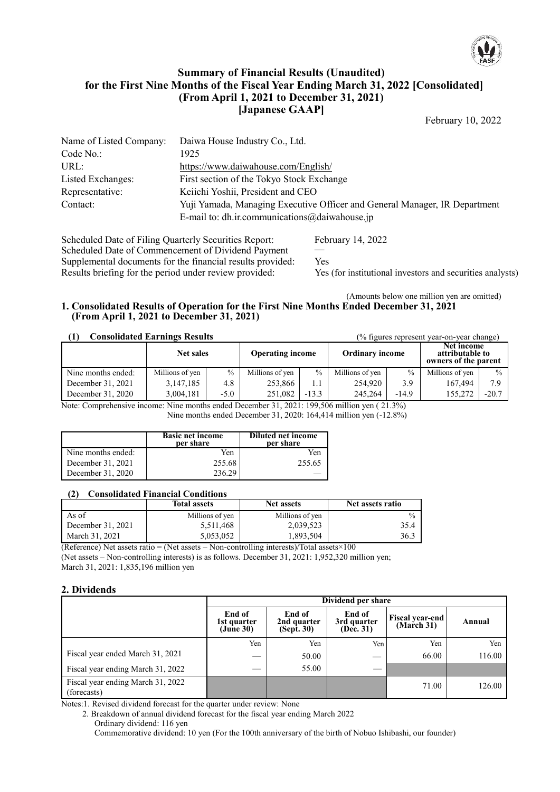

## **Summary of Financial Results (Unaudited) for the First Nine Months of the Fiscal Year Ending March 31, 2022 [Consolidated] (From April 1, 2021 to December 31, 2021) [Japanese GAAP]**

February 10, 2022

| Name of Listed Company: | Daiwa House Industry Co., Ltd.                                             |
|-------------------------|----------------------------------------------------------------------------|
| Code No.:               | 1925                                                                       |
| URL:                    | https://www.daiwahouse.com/English/                                        |
| Listed Exchanges:       | First section of the Tokyo Stock Exchange                                  |
| Representative:         | Keiichi Yoshii, President and CEO                                          |
| Contact:                | Yuji Yamada, Managing Executive Officer and General Manager, IR Department |
|                         | E-mail to: dh.ir.communications@daiwahouse.jp                              |

Scheduled Date of Filing Quarterly Securities Report: February 14, 2022 Scheduled Date of Commencement of Dividend Payment —<br>Supplemental documents for the financial results provided: Yes Supplemental documents for the financial results provided:<br>Results briefing for the period under review provided:

Yes (for institutional investors and securities analysts)

#### (Amounts below one million yen are omitted) **1. Consolidated Results of Operation for the First Nine Months Ended December 31, 2021 (From April 1, 2021 to December 31, 2021)**

| <b>Consolidated Earnings Results</b><br>(% figures represent year-on-year change) |                  |        |                 |               |                                                   |         |                                                       |               |
|-----------------------------------------------------------------------------------|------------------|--------|-----------------|---------------|---------------------------------------------------|---------|-------------------------------------------------------|---------------|
|                                                                                   | <b>Net sales</b> |        |                 |               | <b>Operating income</b><br><b>Ordinary income</b> |         | Net income<br>attributable to<br>owners of the parent |               |
| Nine months ended:                                                                | Millions of yen  | $\%$   | Millions of yen | $\frac{0}{0}$ | Millions of yen                                   | $\%$    | Millions of yen                                       | $\frac{0}{0}$ |
| December 31, 2021                                                                 | 3.147.185        | 4.8    | 253,866         | 1.1           | 254,920                                           | 3.9     | 167,494                                               | 7.9           |
| December 31, 2020                                                                 | 3,004,181        | $-5.0$ | 251,082         | $-13.3$       | 245,264                                           | $-14.9$ | 155,272                                               | $-20.7$       |

Note: Comprehensive income: Nine months ended December 31, 2021: 199,506 million yen ( 21.3%)

Nine months ended December 31, 2020: 164,414 million yen (-12.8%)

|                    | <b>Basic net income</b><br>per share | Diluted net income<br>per share |
|--------------------|--------------------------------------|---------------------------------|
| Nine months ended: | Yen                                  | Yen                             |
| December 31, 2021  | 255.68                               | 255.65                          |
| December 31, 2020  |                                      |                                 |

## **(2) Consolidated Financial Conditions**

|                   | <b>Total assets</b> | <b>Net assets</b> | Net assets ratio |
|-------------------|---------------------|-------------------|------------------|
| As of             | Millions of yen     | Millions of yen   |                  |
| December 31, 2021 | 5,511,468           | 2.039.523         | 35.4             |
| March 31, 2021    | 5.053.052           | 1.893.504         | 36.3             |

(Reference) Net assets ratio = (Net assets – Non-controlling interests)/Total assets $\times 100$ (Net assets – Non-controlling interests) is as follows. December 31, 2021: 1,952,320 million yen; March 31, 2021: 1,835,196 million yen

## **2. Dividends**

|                                                  |                                    | Dividend per share                          |                                            |                                      |        |  |  |
|--------------------------------------------------|------------------------------------|---------------------------------------------|--------------------------------------------|--------------------------------------|--------|--|--|
|                                                  | End of<br>1st quarter<br>(June 30) | End of<br>2nd quarter<br>$(Sep\hat{t}, 30)$ | End of<br>3rd quarter<br>$(De\hat{c}. 31)$ | <b>Fiscal year-end</b><br>(March 31) | Annual |  |  |
|                                                  | Yen                                | Yen                                         | Yen                                        | Yen                                  | Yen    |  |  |
| Fiscal year ended March 31, 2021                 |                                    | 50.00                                       | $\sim$                                     | 66.00                                | 116.00 |  |  |
| Fiscal year ending March 31, 2022                | __                                 | 55.00                                       |                                            |                                      |        |  |  |
| Fiscal year ending March 31, 2022<br>(forecasts) |                                    |                                             |                                            | 71.00                                | 126.00 |  |  |

Notes:1. Revised dividend forecast for the quarter under review: None

2. Breakdown of annual dividend forecast for the fiscal year ending March 2022

Ordinary dividend: 116 yen Commemorative dividend: 10 yen (For the 100th anniversary of the birth of Nobuo Ishibashi, our founder)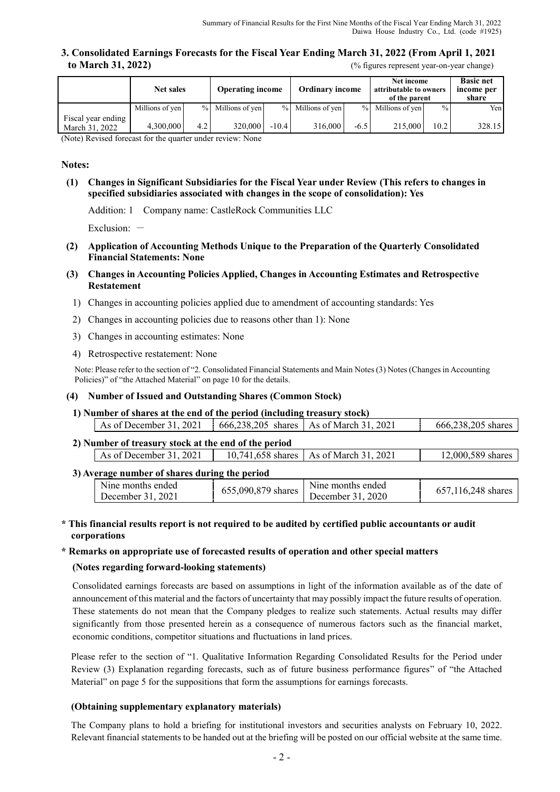**3. Consolidated Earnings Forecasts for the Fiscal Year Ending March 31, 2022 (From April 1, 2021 to March 31, 2022)** (% figures represent year-on-year change)

|                                      | <b>Net sales</b> |                  | <b>Operating income</b> |         | <b>Ordinary income</b> |        | Net income<br>attributable to owners<br>of the parent |               | <b>Basic net</b><br>income per<br>share |
|--------------------------------------|------------------|------------------|-------------------------|---------|------------------------|--------|-------------------------------------------------------|---------------|-----------------------------------------|
|                                      | Millions of yen  |                  | % Millions of yen       |         | % Millions of yen      |        | % Millions of yen                                     | $\frac{0}{0}$ | Yenl                                    |
| Fiscal year ending<br>March 31, 2022 | 4.300,000        | 4.2 <sup>1</sup> | 320,000                 | $-10.4$ | 316,000                | $-6.5$ | 215,000                                               | 10.2          | 328.15                                  |

(Note) Revised forecast for the quarter under review: None

#### **Notes:**

**(1) Changes in Significant Subsidiaries for the Fiscal Year under Review (This refers to changes in specified subsidiaries associated with changes in the scope of consolidation): Yes**

Addition: 1 Company name: CastleRock Communities LLC

Exclusion:  $-$ 

- **(2) Application of Accounting Methods Unique to the Preparation of the Quarterly Consolidated Financial Statements: None**
- **(3) Changes in Accounting Policies Applied, Changes in Accounting Estimates and Retrospective Restatement**
	- 1) Changes in accounting policies applied due to amendment of accounting standards: Yes
	- 2) Changes in accounting policies due to reasons other than 1): None
	- 3) Changes in accounting estimates: None
	- 4) Retrospective restatement: None

Note: Please refer to the section of "2. Consolidated Financial Statements and Main Notes (3) Notes (Changes in Accounting Policies)" of "the Attached Material" on page 10 for the details.

#### **(4) Number of Issued and Outstanding Shares (Common Stock)**

**1) Number of shares at the end of the period (including treasury stock)**

|                                                      | As of December 31, 2021         |  | 666,238,205 shares   As of March 31, 2021 | 666,238,205 shares |  |  |  |  |
|------------------------------------------------------|---------------------------------|--|-------------------------------------------|--------------------|--|--|--|--|
| 2) Number of treasury stock at the end of the period |                                 |  |                                           |                    |  |  |  |  |
|                                                      | $\vert$ As of December 31, 2021 |  | 10,741,658 shares   As of March 31, 2021  | 12,000,589 shares  |  |  |  |  |

### **3) Average number of shares during the period**

| N <sub>ine</sub> months ended | 655,090,879 shares | N <sub>1</sub> months ended |                    |
|-------------------------------|--------------------|-----------------------------|--------------------|
| December 31. 2021             |                    | December 31, 2020           | 657,116,248 shares |

### **\* This financial results report is not required to be audited by certified public accountants or audit corporations**

#### **\* Remarks on appropriate use of forecasted results of operation and other special matters**

#### **(Notes regarding forward-looking statements)**

Consolidated earnings forecasts are based on assumptions in light of the information available as of the date of announcement of this material and the factors of uncertainty that may possibly impact the future results of operation. These statements do not mean that the Company pledges to realize such statements. Actual results may differ significantly from those presented herein as a consequence of numerous factors such as the financial market, economic conditions, competitor situations and fluctuations in land prices.

Please refer to the section of "1. Qualitative Information Regarding Consolidated Results for the Period under Review (3) Explanation regarding forecasts, such as of future business performance figures" of "the Attached Material" on page 5 for the suppositions that form the assumptions for earnings forecasts.

#### **(Obtaining supplementary explanatory materials)**

The Company plans to hold a briefing for institutional investors and securities analysts on February 10, 2022. Relevant financial statements to be handed out at the briefing will be posted on our official website at the same time.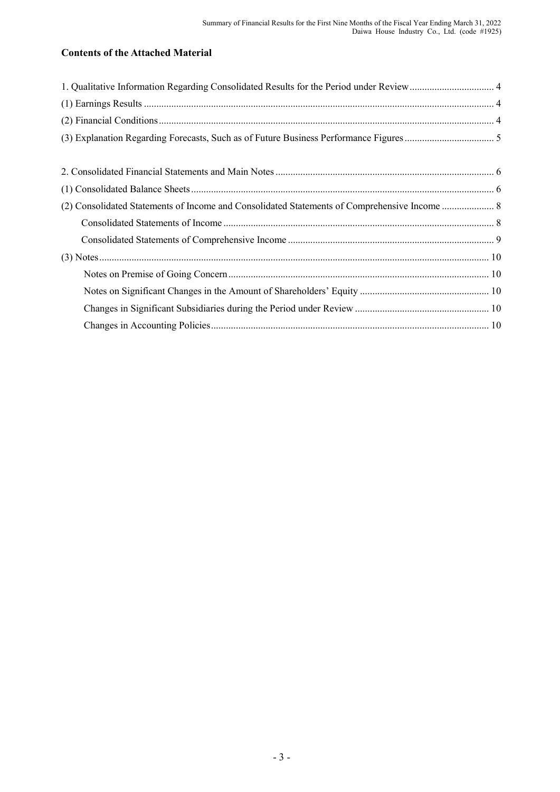# **Contents of the Attached Material**

| 1. Qualitative Information Regarding Consolidated Results for the Period under Review 4 |  |
|-----------------------------------------------------------------------------------------|--|
|                                                                                         |  |
|                                                                                         |  |
|                                                                                         |  |
|                                                                                         |  |
|                                                                                         |  |
|                                                                                         |  |
|                                                                                         |  |
|                                                                                         |  |
|                                                                                         |  |
|                                                                                         |  |
|                                                                                         |  |
|                                                                                         |  |
|                                                                                         |  |
|                                                                                         |  |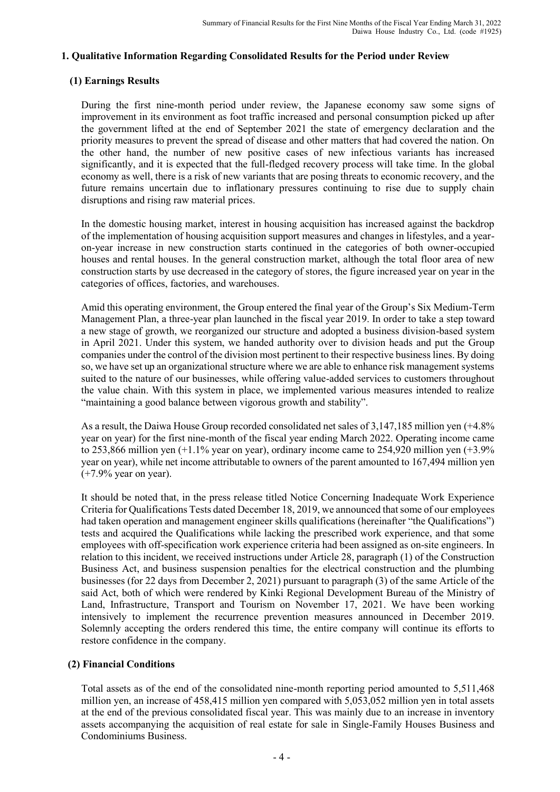## **1. Qualitative Information Regarding Consolidated Results for the Period under Review**

# **(1) Earnings Results**

During the first nine-month period under review, the Japanese economy saw some signs of improvement in its environment as foot traffic increased and personal consumption picked up after the government lifted at the end of September 2021 the state of emergency declaration and the priority measures to prevent the spread of disease and other matters that had covered the nation. On the other hand, the number of new positive cases of new infectious variants has increased significantly, and it is expected that the full-fledged recovery process will take time. In the global economy as well, there is a risk of new variants that are posing threats to economic recovery, and the future remains uncertain due to inflationary pressures continuing to rise due to supply chain disruptions and rising raw material prices.

In the domestic housing market, interest in housing acquisition has increased against the backdrop of the implementation of housing acquisition support measures and changes in lifestyles, and a yearon-year increase in new construction starts continued in the categories of both owner-occupied houses and rental houses. In the general construction market, although the total floor area of new construction starts by use decreased in the category of stores, the figure increased year on year in the categories of offices, factories, and warehouses.

Amid this operating environment, the Group entered the final year of the Group's Six Medium-Term Management Plan, a three-year plan launched in the fiscal year 2019. In order to take a step toward a new stage of growth, we reorganized our structure and adopted a business division-based system in April 2021. Under this system, we handed authority over to division heads and put the Group companies under the control of the division most pertinent to their respective business lines. By doing so, we have set up an organizational structure where we are able to enhance risk management systems suited to the nature of our businesses, while offering value-added services to customers throughout the value chain. With this system in place, we implemented various measures intended to realize "maintaining a good balance between vigorous growth and stability".

As a result, the Daiwa House Group recorded consolidated net sales of 3,147,185 million yen (+4.8% year on year) for the first nine-month of the fiscal year ending March 2022. Operating income came to 253,866 million yen (+1.1% year on year), ordinary income came to 254,920 million yen (+3.9% year on year), while net income attributable to owners of the parent amounted to 167,494 million yen (+7.9% year on year).

It should be noted that, in the press release titled Notice Concerning Inadequate Work Experience Criteria for Qualifications Tests dated December 18, 2019, we announced that some of our employees had taken operation and management engineer skills qualifications (hereinafter "the Qualifications") tests and acquired the Qualifications while lacking the prescribed work experience, and that some employees with off-specification work experience criteria had been assigned as on-site engineers. In relation to this incident, we received instructions under Article 28, paragraph (1) of the Construction Business Act, and business suspension penalties for the electrical construction and the plumbing businesses (for 22 days from December 2, 2021) pursuant to paragraph (3) of the same Article of the said Act, both of which were rendered by Kinki Regional Development Bureau of the Ministry of Land, Infrastructure, Transport and Tourism on November 17, 2021. We have been working intensively to implement the recurrence prevention measures announced in December 2019. Solemnly accepting the orders rendered this time, the entire company will continue its efforts to restore confidence in the company.

# **(2) Financial Conditions**

Total assets as of the end of the consolidated nine-month reporting period amounted to 5,511,468 million yen, an increase of 458,415 million yen compared with 5,053,052 million yen in total assets at the end of the previous consolidated fiscal year. This was mainly due to an increase in inventory assets accompanying the acquisition of real estate for sale in Single-Family Houses Business and Condominiums Business.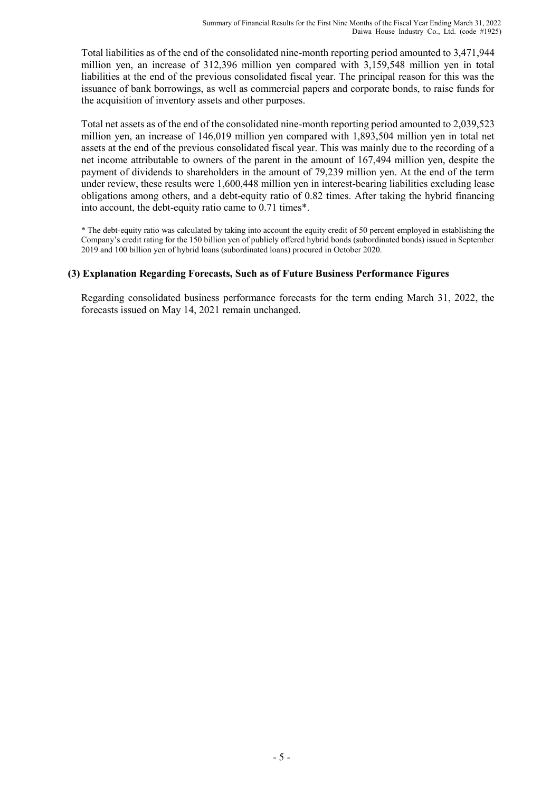Total liabilities as of the end of the consolidated nine-month reporting period amounted to 3,471,944 million yen, an increase of 312,396 million yen compared with 3,159,548 million yen in total liabilities at the end of the previous consolidated fiscal year. The principal reason for this was the issuance of bank borrowings, as well as commercial papers and corporate bonds, to raise funds for the acquisition of inventory assets and other purposes.

Total net assets as of the end of the consolidated nine-month reporting period amounted to 2,039,523 million yen, an increase of 146,019 million yen compared with 1,893,504 million yen in total net assets at the end of the previous consolidated fiscal year. This was mainly due to the recording of a net income attributable to owners of the parent in the amount of 167,494 million yen, despite the payment of dividends to shareholders in the amount of 79,239 million yen. At the end of the term under review, these results were 1,600,448 million yen in interest-bearing liabilities excluding lease obligations among others, and a debt-equity ratio of 0.82 times. After taking the hybrid financing into account, the debt-equity ratio came to 0.71 times\*.

\* The debt-equity ratio was calculated by taking into account the equity credit of 50 percent employed in establishing the Company's credit rating for the 150 billion yen of publicly offered hybrid bonds (subordinated bonds) issued in September 2019 and 100 billion yen of hybrid loans (subordinated loans) procured in October 2020.

# **(3) Explanation Regarding Forecasts, Such as of Future Business Performance Figures**

Regarding consolidated business performance forecasts for the term ending March 31, 2022, the forecasts issued on May 14, 2021 remain unchanged.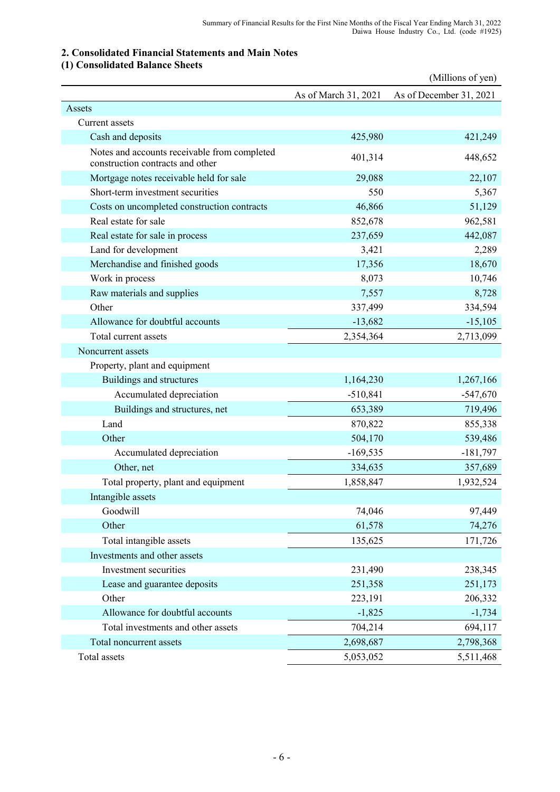# **2. Consolidated Financial Statements and Main Notes**

# **(1) Consolidated Balance Sheets**

|                                                                                  |                      | (Millions of yen)       |
|----------------------------------------------------------------------------------|----------------------|-------------------------|
|                                                                                  | As of March 31, 2021 | As of December 31, 2021 |
| Assets                                                                           |                      |                         |
| Current assets                                                                   |                      |                         |
| Cash and deposits                                                                | 425,980              | 421,249                 |
| Notes and accounts receivable from completed<br>construction contracts and other | 401,314              | 448,652                 |
| Mortgage notes receivable held for sale                                          | 29,088               | 22,107                  |
| Short-term investment securities                                                 | 550                  | 5,367                   |
| Costs on uncompleted construction contracts                                      | 46,866               | 51,129                  |
| Real estate for sale                                                             | 852,678              | 962,581                 |
| Real estate for sale in process                                                  | 237,659              | 442,087                 |
| Land for development                                                             | 3,421                | 2,289                   |
| Merchandise and finished goods                                                   | 17,356               | 18,670                  |
| Work in process                                                                  | 8,073                | 10,746                  |
| Raw materials and supplies                                                       | 7,557                | 8,728                   |
| Other                                                                            | 337,499              | 334,594                 |
| Allowance for doubtful accounts                                                  | $-13,682$            | $-15,105$               |
| Total current assets                                                             | 2,354,364            | 2,713,099               |
| Noncurrent assets                                                                |                      |                         |
| Property, plant and equipment                                                    |                      |                         |
| Buildings and structures                                                         | 1,164,230            | 1,267,166               |
| Accumulated depreciation                                                         | $-510,841$           | $-547,670$              |
| Buildings and structures, net                                                    | 653,389              | 719,496                 |
| Land                                                                             | 870,822              | 855,338                 |
| Other                                                                            | 504,170              | 539,486                 |
| Accumulated depreciation                                                         | $-169,535$           | $-181,797$              |
| Other, net                                                                       | 334,635              | 357,689                 |
| Total property, plant and equipment                                              | 1,858,847            | 1,932,524               |
| Intangible assets                                                                |                      |                         |
| Goodwill                                                                         | 74,046               | 97,449                  |
| Other                                                                            | 61,578               | 74,276                  |
| Total intangible assets                                                          | 135,625              | 171,726                 |
| Investments and other assets                                                     |                      |                         |
| Investment securities                                                            | 231,490              | 238,345                 |
| Lease and guarantee deposits                                                     | 251,358              | 251,173                 |
| Other                                                                            | 223,191              | 206,332                 |
| Allowance for doubtful accounts                                                  | $-1,825$             | $-1,734$                |
| Total investments and other assets                                               | 704,214              | 694,117                 |
| Total noncurrent assets                                                          | 2,698,687            | 2,798,368               |
| Total assets                                                                     | 5,053,052            | 5,511,468               |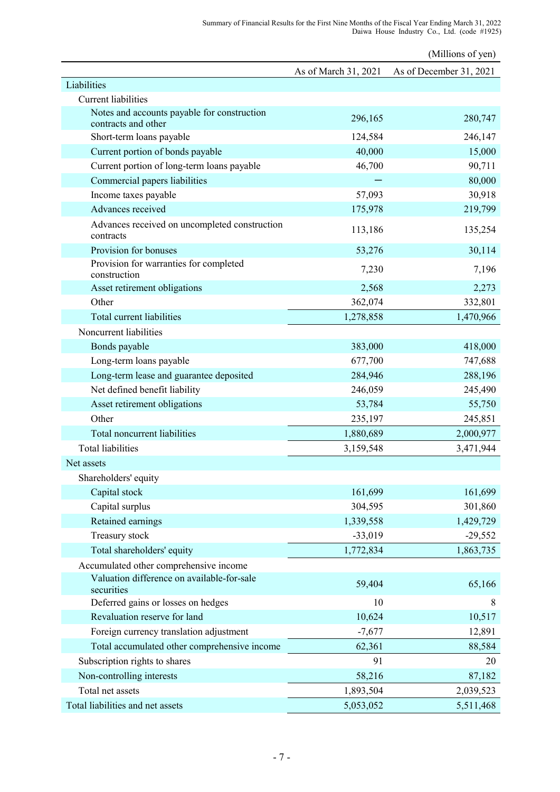(Millions of yen) As of March 31, 2021 As of December 31, 2021 Liabilities Current liabilities Notes and accounts payable for construction contracts and other 280,747<br>contracts and other 280,747 Short-term loans payable 124,584 246,147 Current portion of bonds payable 40,000 15,000 Current portion of long-term loans payable 46,700 90,711 Commercial papers liabilities - 80,000 Income taxes payable  $57,093$  30,918 Advances received 175,978 219,799 Advances received on uncompleted construction  $\frac{113,186}{2}$  113,186 135,254 Provision for bonuses 53,276 30,114 Provision for warranties for completed The resistential construction 7,196 Asset retirement obligations 2,568 2,273 Other 362,074 332,801 Total current liabilities 1,278,858 1,470,966 Noncurrent liabilities Bonds payable 383,000 418,000 418,000 418,000 418,000 418,000 418,000 418,000 418,000 418,000 418,000 418,000 418,000 418,000 418,000 418,000 418,000 418,000 418,000 418,000 418,000 418,000 418,000 418,000 418,000 418,000 Long-term loans payable 677,700 677,700 747,688 Long-term lease and guarantee deposited 284,946 288,196 Net defined benefit liability 246,059 245,490 Asset retirement obligations 53,784 55,750 Other 235,197 245,851 Total noncurrent liabilities 1,880,689 2,000,977 Total liabilities 3,159,548 3,471,944 Net assets Shareholders' equity Capital stock 161,699 161,699 161,699 161,699 161,699 161,699 161,699 161,699 161,699 161,699 161,699 161,699 161,699 161,699 161,699 161,699 161,699 161,699 161,699 161,699 161,699 161,699 161,699 161,699 161,699 161,699 Capital surplus 304,595 301,860 Retained earnings 1,339,558 1,429,729 Treasury stock -33,019 -29,552 Total shareholders' equity 1,772,834 1,863,735 Accumulated other comprehensive income Valuation difference on available-for-sale securities 65,166 contains to the same contains to the securities 65,166 Deferred gains or losses on hedges 10 8 Revaluation reserve for land 10,624 10,517 Foreign currency translation adjustment  $-7,677$  12,891 Total accumulated other comprehensive income 62,361 88,584 Subscription rights to shares 91 20 Non-controlling interests 58,216 87,182 Total net assets 2,039,523 1,893,504 2,039,523 Total liabilities and net assets 5,053,052 5,511,468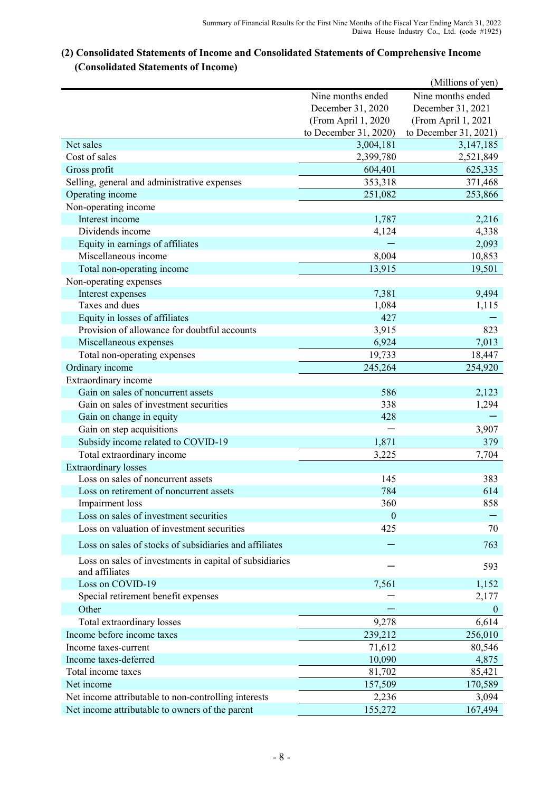# **(2) Consolidated Statements of Income and Consolidated Statements of Comprehensive Income (Consolidated Statements of Income)**

|                                                         |                       | (Millions of yen)     |
|---------------------------------------------------------|-----------------------|-----------------------|
|                                                         | Nine months ended     | Nine months ended     |
|                                                         | December 31, 2020     | December 31, 2021     |
|                                                         | (From April 1, 2020   | (From April 1, 2021   |
|                                                         | to December 31, 2020) | to December 31, 2021) |
| Net sales                                               | 3,004,181             | 3, 147, 185           |
| Cost of sales                                           | 2,399,780             | 2,521,849             |
| Gross profit                                            | 604,401               | 625,335               |
| Selling, general and administrative expenses            | 353,318               | 371,468               |
| Operating income                                        | 251,082               | 253,866               |
| Non-operating income                                    |                       |                       |
| Interest income                                         | 1,787                 | 2,216                 |
| Dividends income                                        | 4,124                 | 4,338                 |
| Equity in earnings of affiliates                        |                       | 2,093                 |
| Miscellaneous income                                    | 8,004                 | 10,853                |
| Total non-operating income                              | 13,915                | 19,501                |
| Non-operating expenses                                  |                       |                       |
| Interest expenses                                       | 7,381                 | 9,494                 |
| Taxes and dues                                          | 1,084                 | 1,115                 |
| Equity in losses of affiliates                          | 427                   |                       |
| Provision of allowance for doubtful accounts            | 3,915                 | 823                   |
| Miscellaneous expenses                                  | 6,924                 | 7,013                 |
| Total non-operating expenses                            | 19,733                | 18,447                |
| Ordinary income                                         | 245,264               | 254,920               |
| Extraordinary income                                    |                       |                       |
| Gain on sales of noncurrent assets                      | 586                   | 2,123                 |
| Gain on sales of investment securities                  | 338                   | 1,294                 |
| Gain on change in equity                                | 428                   |                       |
| Gain on step acquisitions                               |                       | 3,907                 |
| Subsidy income related to COVID-19                      | 1,871                 | 379                   |
| Total extraordinary income                              | 3,225                 | 7,704                 |
| <b>Extraordinary losses</b>                             |                       |                       |
| Loss on sales of noncurrent assets                      | 145                   | 383                   |
| Loss on retirement of noncurrent assets                 | 784                   | 614                   |
| Impairment loss                                         | 360                   | 858                   |
| Loss on sales of investment securities                  | $\theta$              |                       |
| Loss on valuation of investment securities              | 425                   | 70                    |
| Loss on sales of stocks of subsidiaries and affiliates  |                       | 763                   |
| Loss on sales of investments in capital of subsidiaries |                       | 593                   |
| and affiliates                                          |                       |                       |
| Loss on COVID-19                                        | 7,561                 | 1,152                 |
| Special retirement benefit expenses                     |                       | 2,177                 |
| Other                                                   |                       | $\mathbf{0}$          |
| Total extraordinary losses                              | 9,278                 | 6,614                 |
| Income before income taxes                              | 239,212               | 256,010               |
| Income taxes-current                                    | 71,612                | 80,546                |
| Income taxes-deferred                                   | 10,090                | 4,875                 |
| Total income taxes                                      | 81,702                | 85,421                |
| Net income                                              | 157,509               | 170,589               |
| Net income attributable to non-controlling interests    | 2,236                 | 3,094                 |
| Net income attributable to owners of the parent         | 155,272               | 167,494               |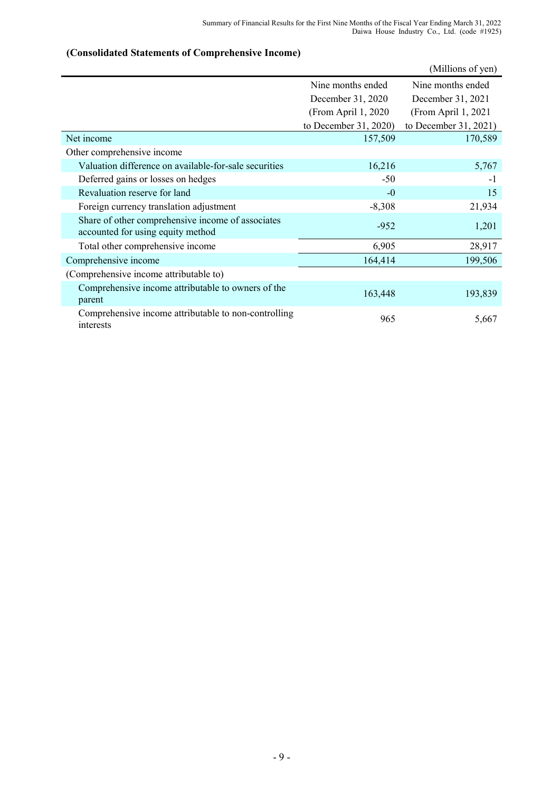# (Millions of yen) Nine months ended Nine months ended December 31, 2020 December 31, 2021 (From April 1, 2020 (From April 1, 2021 to December 31, 2020) to December 31, 2021) Net income 157,509 170,589 Other comprehensive income Valuation difference on available-for-sale securities 16,216 5,767 Deferred gains or losses on hedges -50 -1 Revaluation reserve for land 15 Foreign currency translation adjustment -8,308 21,934 Share of other comprehensive income of associates accounted for using equity method  $1,201$ <br>accounted for using equity method Total other comprehensive income 6,905 28,917 Comprehensive income 164,414 199,506 (Comprehensive income attributable to) Comprehensive income attributable to owners of the parent 163,448 193,839 Comprehensive income attributable to non-controlling Examplements media and another to hen controlling 965 5,667

#### **(Consolidated Statements of Comprehensive Income)**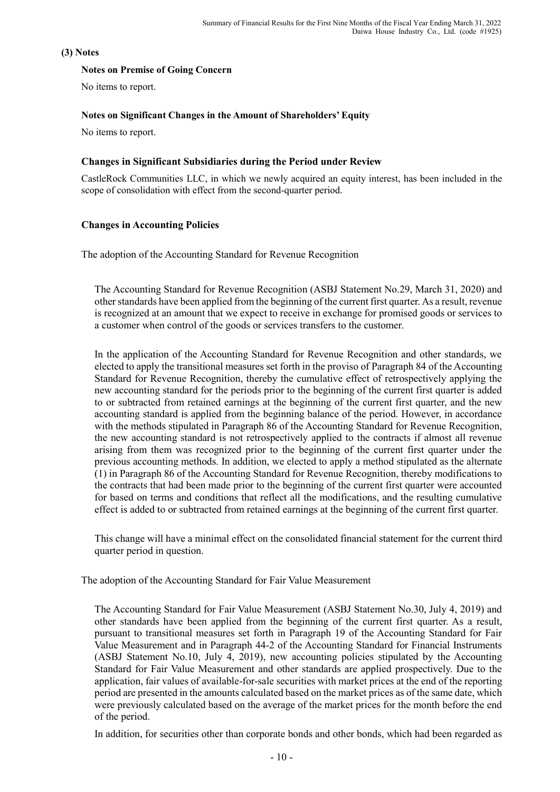## **(3) Notes**

## **Notes on Premise of Going Concern**

No items to report.

## **Notes on Significant Changes in the Amount of Shareholders' Equity**

No items to report.

## **Changes in Significant Subsidiaries during the Period under Review**

CastleRock Communities LLC, in which we newly acquired an equity interest, has been included in the scope of consolidation with effect from the second-quarter period.

## **Changes in Accounting Policies**

The adoption of the Accounting Standard for Revenue Recognition

The Accounting Standard for Revenue Recognition (ASBJ Statement No.29, March 31, 2020) and other standards have been applied from the beginning of the current first quarter. As a result, revenue is recognized at an amount that we expect to receive in exchange for promised goods or services to a customer when control of the goods or services transfers to the customer.

In the application of the Accounting Standard for Revenue Recognition and other standards, we elected to apply the transitional measures set forth in the proviso of Paragraph 84 of the Accounting Standard for Revenue Recognition, thereby the cumulative effect of retrospectively applying the new accounting standard for the periods prior to the beginning of the current first quarter is added to or subtracted from retained earnings at the beginning of the current first quarter, and the new accounting standard is applied from the beginning balance of the period. However, in accordance with the methods stipulated in Paragraph 86 of the Accounting Standard for Revenue Recognition, the new accounting standard is not retrospectively applied to the contracts if almost all revenue arising from them was recognized prior to the beginning of the current first quarter under the previous accounting methods. In addition, we elected to apply a method stipulated as the alternate (1) in Paragraph 86 of the Accounting Standard for Revenue Recognition, thereby modifications to the contracts that had been made prior to the beginning of the current first quarter were accounted for based on terms and conditions that reflect all the modifications, and the resulting cumulative effect is added to or subtracted from retained earnings at the beginning of the current first quarter.

This change will have a minimal effect on the consolidated financial statement for the current third quarter period in question.

The adoption of the Accounting Standard for Fair Value Measurement

The Accounting Standard for Fair Value Measurement (ASBJ Statement No.30, July 4, 2019) and other standards have been applied from the beginning of the current first quarter. As a result, pursuant to transitional measures set forth in Paragraph 19 of the Accounting Standard for Fair Value Measurement and in Paragraph 44-2 of the Accounting Standard for Financial Instruments (ASBJ Statement No.10, July 4, 2019), new accounting policies stipulated by the Accounting Standard for Fair Value Measurement and other standards are applied prospectively. Due to the application, fair values of available-for-sale securities with market prices at the end of the reporting period are presented in the amounts calculated based on the market prices as of the same date, which were previously calculated based on the average of the market prices for the month before the end of the period.

In addition, for securities other than corporate bonds and other bonds, which had been regarded as